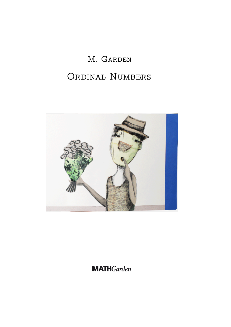# M. Garden

# ORDINAL NUMBERS



# **MATH**Garden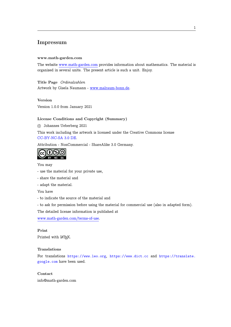## Impressum

#### www.math-garden.com

The website www.math-garden.com provides information about mathematics. The material is organized in several units. The present article is such a unit. Enjoy.

Title Page *[Ordinalzahlen](https://www.math-garden.com)* Artwork by Gisela Naumann - www.malraum-bonn.de.

Version

Version 1.0.0 from January 20[21](http://www.malraum-bonn.de)

#### License Conditions and Copyright (Summary)

c Johannes Ueberberg 2021

This work including the artwork is licensed under the Creative Commons license CC-BY-NC-SA 3.0 DE.

Attribution - NonCommercial - ShareAlike 3.0 Germany.



You may

- use the material for your private use,

- share the material and

- adapt the material.

You have

- to indicate the source of the material and

- to ask for permission before using the material for commercial use (also in adapted form).

The detailed license information is published at

www.math-garden.com/terms-of-use.

#### Print

[Printed with L](https://www.math-garden.com/terms-of-use)<sup>AT</sup>EX.

#### Translations

For translations https://www.leo.org, https://www.dict.cc and https://translate. google.com have been used.

Contact

[info@math-g](https://translate.google.com)arden.com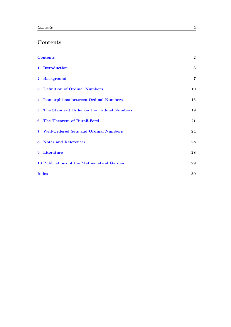# Contents

<span id="page-2-0"></span>

|   | <b>Contents</b>                             | $\overline{2}$ |
|---|---------------------------------------------|----------------|
|   | 1 Introduction                              | 3              |
|   | 2 Background                                | 7              |
|   | 3 Definition of Ordinal Numbers             | 10             |
|   | 4 Isomorphisms between Ordinal Numbers      | 15             |
|   | 5 The Standard Order on the Ordinal Numbers | 19             |
|   | 6 The Theorem of Burali-Forti               | 21             |
|   | 7 Well-Ordered Sets and Ordinal Numbers     | 24             |
|   | 8 Notes and References                      | 28             |
| 9 | Literature                                  | 28             |
|   | 10 Publications of the Mathematical Garden  | 29             |
|   | <b>Index</b>                                | 30             |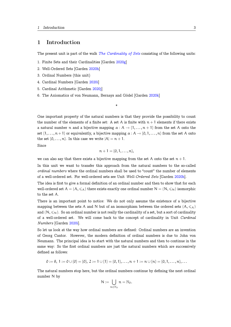## <span id="page-3-1"></span>1 Introduction

The present unit is part of the walk *The Cardinality of Sets* consisting of the following units:

- <span id="page-3-0"></span>1. Finite Sets and their Cardinalities [Garden 2020g]
- 2. Well-Ordered Sets [Garden 2020h]
- 3. Ordinal Numbers (this unit)
- 4. Cardinal Numbers [Garden 2020i]
- 5. Cardinal Arithmetic [Garden [2020](#page-29-0)j]
- 6. The Axiomatics of von Neumann, Bernays and Gödel [Garden 2020k]

One important property of the natural numbers is that they pro[vide th](#page-29-1)e possibility to count the number of the elements of a finite set: A set A is finite with  $n + 1$  elements if there exists a natural number n and a bijective mapping  $\alpha : A \to \{1, \ldots, n+1\}$  from the set A onto the set  $\{1,\ldots,n+1\}$  or equivalently, a bijective mapping  $\alpha: A \to \{0,1,\ldots,n\}$  from the set A onto the set  $\{0, \ldots, n\}$ . In this case we write  $|A| = n + 1$ .

\*

Since

$$
n+1=\{0,1,\ldots,n\},\
$$

we can also say that there exists a bijective mapping from the set A onto the set  $n + 1$ .

In this unit we want to transfer this approach from the natural numbers to the so-called *ordinal numbers* where the ordinal numbers shall be used to "count" the number of elements of a well-ordered set. For well-ordered sets see Unit *Well-Ordered Sets* [Garden 2020h].

The idea is first to give a formal definition of an ordinal number and then to show that for each well-ordered set  $A = (A, \leq_A)$  there exists exactly one ordinal number  $N = (N, \leq_N)$  isomorphic to the set A.

There is an important point to notice: We do not only assume the existence of a bijective mapping between the sets A and N but of an isomorphism between the ordered sets  $(A, \leq_{\mathcal{A}})$ and  $(N, \leq N)$ . So an ordinal number is not really the cardinality of a set, but a sort of cardinality of a well-ordered set. We will come back to the concept of cardinality in Unit *Cardinal Numbers* [Garden 2020i].

So let us look at the way how ordinal numbers are defined: Ordinal numbers are an invention of Georg Cantor. However, the modern definition of ordinal numbers is due to John von Neumann. The pri[ncipal](#page-29-2) idea is to start with the natural numbers and then to continue in the same way: So the first ordinal numbers are just the natural numbers which are successively defined as follows:

$$
0 := \emptyset, 1 := 0 \cup \{0\} = \{0\}, 2 := 1 \cup \{1\} = \{0, 1\}, \ldots, n + 1 := n \cup \{n\} = \{0, 1, \ldots, n\}, \ldots
$$

The natural numbers stop here, but the ordinal numbers continue by defining the next ordinal number N by

$$
N:=\bigcup_{n\in\mathbb{N}_0}n=\mathbb{N}_0.
$$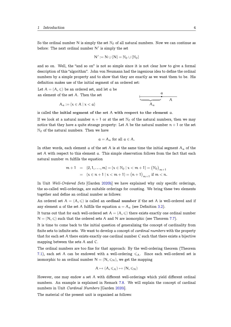<span id="page-4-0"></span>So the ordinal number N is simply the set  $\mathbb{N}_0$  of all natural numbers. Now we can continue as before: The next ordinal number N*′* is simply the set

$$
N' := N \cup \{N\} = \mathbb{N}_0 \cup \{\mathbb{N}_0\}
$$

and so on. Well, the "and so on" is not so simple since it is not clear how to give a formal description of this "algorithm". John von Neumann had the ingenious idea to define the ordinal numbers by a simple property and to show that they are exactly as we want them to be. His definition makes use of the initial segment of an ordered set:

Let  $A = (A, \leq)$  be an ordered set, and let a be an element of the set A. Then the set

 $A_{\alpha} := \{x \in A \mid x < \alpha\}$ 

$$
\begin{array}{c}\n a \\
 \hline\n \uparrow a \\
 A_a\n \end{array}
$$

is called the initial segment of the set A with respect to the element a.

If we look at a natural number  $n + 1$  or at the set  $\mathbb{N}_0$  of the natural numbers, then we may notice that they have a quite strange property: Let A be the natural number  $n + 1$  or the set  $\mathbb{N}_0$  of the natural numbers. Then we have

$$
a=A_{\alpha} \text{ for all } a\in A.
$$

In other words, each element a of the set A is at the same time the initial segment  $A_a$  of the set A with respect to this element a. This simple observation follows from the fact that each natural number m fulfills the equation

$$
m + 1 = \{0, 1, ..., m\} = \{x \in \mathbb{N}_0 \mid x < m + 1\} = \left(\mathbb{N}_0\right)_{m+1}
$$
\n
$$
= \{x \in n + 1 \mid x < m + 1\} = \left(n + 1\right)_{m+1} \text{ if } m < n.
$$

In Unit *Well-Ordered Sets* [Garden 2020h] we have explained why only specific orderings, the so-called well-orderings, are suitable orderings for counting. We bring these two elements together and define an ordinal number as follows:

An [ord](#page-29-0)ered set  $A = (A, \leqslant)$  is called an ordinal number if the set A is well-ordered and if any element a of the set A fulfills the equation  $a = A_a$  (see Definition 3.2).

It turns out that for each well-ordered set  $A = (A, \leq)$  there exists exactly one ordinal number  $N = (N, \leq)$  such that the ordered sets A and N are isomorphic (see Theorem 7.7).

It is time to come back to the initial question of generalizing the conc[ept](#page-10-1) of cardinality from finite sets to infinite sets. We want to develop a concept of *cardinal numbers* with the property that for each set A there exists exactly one cardinal number C such that there e[xist](#page-27-0)s a bijective mapping between the sets A and C.

The ordinal numbers are too fine for that approach: By the well-ordering theorem (Theorem 7.1), each set A can be endowed with a well-ordering  $\leqslant_A$ . Since each well-ordered set is isomorphic to an ordinal number  $N = (N, \leq N)$ , we get the mapping

$$
A \mapsto (A, \leqslant_A) \mapsto (N, \leqslant_N)
$$

However, one may endow a set A with different well-orderings which yield different ordinal numbers. An example is explained in Remark 7.8. We will explain the concept of cardinal numbers in Unit *Cardinal Numbers* [Garden 2020i].

The material of the present unit is organized as follows: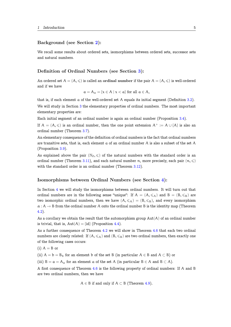## Background (see Section 2):

We recall some results about ordered sets, isomorphisms between ordered sets, successor sets and natural numbers.

#### Definition of Ordinal Numbers (see Section 3):

An ordered set  $A = (A, \leqslant)$  is called an ordinal number if the pair  $A = (A, \leqslant)$  is well-ordered and if we have

$$
a = A_{\alpha} = \{x \in A \mid x < a\} \text{ for all } a \in A,
$$

that is, if each element a of the well-ordered set A equals its initial segment (Definition 3.2).

We will study in Section 3 the elementary properties of ordinal numbers. The most important elementary properties are:

Each initial segment of an ordinal number is again an ordinal number (Proposition 3.4).

If  $A = (A, \leqslant)$  is an ordi[na](#page-10-0)l number, then the one point extension  $A^+ := A \cup \{A\}$  is also an ordinal number (Theorem 3.7).

An elementary consequence of the definition of ordinal numbers is the fact that ordina[l nu](#page-11-0)mbers are transitive sets, that is, each element a of an ordinal number A is also a subset of the set A (Proposition 3.9).

As explained above the pair ( $\mathbb{N}_0, \leqslant$ ) of the natural numbers with the standard order is an ordinal number (Theorem 3.11), and each natural number n, more precisely, each pair  $(n, \leqslant)$ with the sta[ndar](#page-12-0)d order is an ordinal number (Theorem 3.12).

#### Isomorphisms betw[een](#page-12-1) Ordinal Numbers (see Section 4):

In Section 4 we will study the isomorphisms between ordinal numbers. It will turn out that ordinal numbers are in the following sense "unique": If  $A = (A, \leq A)$  and  $B = (B, \leq B)$  are two isomorphic ordinal numbers, then we have  $(A, \leq_A) = (B, \leq_B)$ , an[d e](#page-15-0)very isomorphism  $\alpha: A \to B$  [fro](#page-15-0)m the ordinal number A onto the ordinal number B is the identity map (Theorem 4.2).

As a corollary we obtain the result that the automorphism group  $Aut(A)$  of an ordinal number is trivial, that is,  $Aut(A) = {id}$  (Proposition 4.4).

[As](#page-15-1) a further consequence of Theorem 4.2 we will show in Theorem 4.6 that each two ordinal numbers are closely related: If  $(A, \leq A)$  and  $(B, \leq B)$  are two ordinal numbers, then exactly one of the following cases occurs:

(i) 
$$
A = B
$$
 or

(ii)  $A = b = B_b$  for an element b of the set B (in particular  $A \in B$  and  $A \subset B$ ) or

(iii)  $B = a = A_a$  for an element a of the set A (in particular  $B \in A$  and  $B \subset A$ ).

A first consequence of Theorem 4.6 is the following property of ordinal numbers: If A and B are two ordinal numbers, then we have

$$
A \in B \text{ if and only if } A \subset B \text{ (Theorem 4.9).}
$$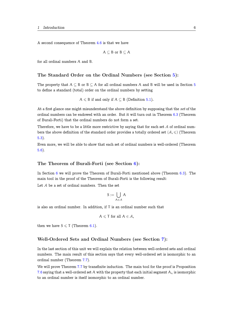A second consequence of Theorem 4.6 is that we have

$$
A \subseteq B \text{ or } B \subseteq A
$$

for all ordinal numbers A and B.

## The Standard Order on the Ordinal Numbers (see Section 5):

The property that  $A \subseteq B$  or  $B \subseteq A$  for all ordinal numbers A and B will be used in Section 5 to define a standard (total) order on the ordinal numbers by setting

 $A \leq B$  if and only if  $A \subseteq B$  (Definition 5.1).

At a first glance one might misunderstand the above definition by supposing that the *set* of the ordinal numbers can be endowed with an order. But it will turn out in Theorem 6.3 (Theorem of Burali-Forti) that the ordinal numbers do not form a set.

Therefore, we have to be a little more restrictive by saying that for each set  $A$  of ordinal numbers the above definition of the standard order provides a totally ordered set  $(\mathcal{A}, \leqslant)$  (Theorem 5.3).

Even more, we will be able to show that each set of ordinal numbers is well-ordered (Theorem 5.6).

#### The Theorem of Burali-Forti (see Section 6):

In Section 6 we will prove the Theorem of Burali-Forti mentioned above (Theorem 6.3). The main tool in the proof of the Theorem of Burali-Forti is the following result:

Let A be a set of ordinal numbers. Then the set

$$
S := \bigcup_{A \in \mathcal{A}} A
$$

is also an ordinal number. In addition, if T is an ordinal number such that

$$
A\leqslant \mathsf{T} \text{ for all } A\in \mathcal{A},
$$

then we have  $S \leq T$  (Theorem 6.1).

#### Well-Ordered Sets and Ordinal Numbers (see Section 7):

In the last section of this unit we will explain the relation between well-ordered sets and ordinal numbers. The main result of this section says that every well-ordered set is isomorphic to an ordinal number (Theorem 7.7).

We will prove Theorem 7.7 by transfinite induction. The main tool for the proof is Proposition 7.6 saying that a well-ordered set A with the property that each initial segment  $A_x$  is isomorphic to an ordinal number is it[self](#page-27-0) isomorphic to an ordinal number.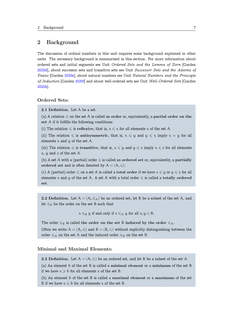## <span id="page-7-1"></span>2 Background

<span id="page-7-0"></span>The discussion of ordinal numbers in this unit requires some background explained in other units. The necessary background is summarized in this section. For more information about ordered sets and initial segments see Unit *Ordered Sets and the Lemma of Zorn* [Garden 2020d], about successor sets and transitive sets see Unit *Successor Sets and the Axioms of Peano* [Garden 2020e], about natural numbers see Unit *Natural Numbers and the Principle of Induction* [Garden 2020f] and about well-ordered sets see Unit *Well-Ordered Sets* [Garden [2020h\]](#page-29-3).

### Ordered Sets:

2.1 Definition. Let A be a set.

(a) A relation  $\leq$  on the set A is called an order or, equivalently, a partial order on the set A if it fulfills the following conditions:

(i) The relation  $\leq$  is reflexive, that is,  $x \leq x$  for all elements x of the set A.

(ii) The relation  $\leq$  is antisymmetric, that is,  $x \leq y$  and  $y \leq x$  imply  $x = y$  for all elements  $x$  and  $y$  of the set  $A$ .

(iii) The relation  $\leq$  is transitive, that is,  $x \leq y$  and  $y \leq z$  imply  $x \leq z$  for all elements  $x, y$  and  $z$  of the set A.

(b) A set A with a (partial) order  $\leq$  is called an ordered set or, equivalently, a partially ordered set and is often denoted by  $A = (A, \leqslant)$ .

(c) A (partial) order  $\leq$  on a set A is called a total order if we have  $x \leq y$  or  $y \leq x$  for all elements x and y of the set A. A set A with a total order  $\leq$  is called a totally ordered set.

2.2 Definition. Let  $A = (A, \leq_{A})$  be an ordered set, let B be a subset of the set A, and let  $\leqslant_{\mathrm{B}}$  be the order on the set B such that

 $x \leq_B y$  if and only if  $x \leq_A y$  for all  $x, y \in B$ .

The order  $\leq_B$  is called the order on the set B induced by the order  $\leq_A$ .

Often we write  $A = (A, \leqslant)$  and  $B = (B, \leqslant)$  without explicitly distinguishing between the order  $\leq_{\mathcal{A}}$  on the set A and the induced order  $\leq_{\mathcal{B}}$  on the set B.

## Minimal and Maximal Elements:

2.3 Definition. Let  $A = (A, \leqslant)$  be an ordered set, and let B be a subset of the set A.

(a) An element b of the set B is called a minimal element or a minimum of the set B if we have  $x \geq b$  for all elements x of the set B.

(b) An element b of the set B is called a maximal element or a maximum of the set B if we have  $x \leq b$  for all elements x of the set B.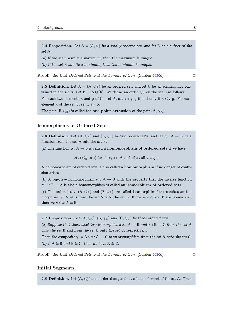<span id="page-8-2"></span>2.4 Proposition. Let  $A = (A, \leqslant)$  be a totally ordered set, and let B be a subset of the *set* A*.*

*(a) If the set* B *admits a maximum, then the maximum is unique.*

*(b) If the set* B *admits a minimum, then the minimum is unique.*

**Proof.** See Unit *Ordered Sets and the Lemma of Zorn* [Garden 2020d]. □

2.5 Definition. Let  $A = (A, \leq_{A})$  be an ordered set, and let b be an element not contained in [the set](#page-29-3) A. Set B :=  $A \cup \{b\}$ . We define an order  $\leq_B$  on the set B as follows:

<span id="page-8-0"></span>For each two elements x and y of the set A, set  $x \leq_B y$  if and only if  $x \leq_A y$ . For each element x of the set B, set  $x \leq_B b$ .

The pair  $(B, \leq_B)$  is called the one point extension of the pair  $(A, \leq_A)$ .

### Isomorphisms of Ordered Sets:

**2.6 Definition.** Let  $(A, \leq_A)$  and  $(B, \leq_B)$  be two ordered sets, and let  $\alpha : A \to B$  be a function from the set A into the set B.

<span id="page-8-1"></span>(a) The function  $\alpha : A \to B$  is called a homomorphism of ordered sets if we have

 $\alpha(x) \leq B \alpha(y)$  for all  $x, y \in A$  such that all  $x \leq_A y$ .

A homomorphism of ordered sets is also called a homomorphism if no danger of confusion arises.

(b) A bijective homomorphism  $\alpha : A \rightarrow B$  with the property that the inverse function  $\alpha^{-1}$ : B  $\rightarrow$  A is also a homomorphism is called an isomorphism of ordered sets.

(c) The ordered sets  $(A, \leq_A)$  and  $(B, \leq_B)$  are called isomorphic if there exists an isomorphism  $\alpha : A \to B$  from the set A onto the set B. If the sets A and B are isomorphic, then we write  $A \cong B$ .

**2.7 Proposition.** Let  $(A, \leq_A)$ ,  $(B, \leq_B)$  and  $(C, \leq_C)$  be three ordered sets.

*(a) Suppose that there exist two isomorphisms*  $\alpha : A \to B$  *and*  $\beta : B \to C$  *from the set* A *onto the set* B *and from the set* B *onto the set* C*, respectively.*

*Then the composite*  $\gamma := \beta \circ \alpha : A \to C$  *is an isomorphism from the set* A *onto the set* C. *(b)* If  $A \cong B$  *and*  $B \cong C$ *, then we have*  $A \cong C$ *.* 

Proof. See Unit *Ordered Sets and the Lemma of Zorn* [Garden 2020d]. *✷*

#### Initial Segments:

**2.8 Definition.** Let  $(A, \leq)$  be an ordered set, and let a be an element of the set A. Then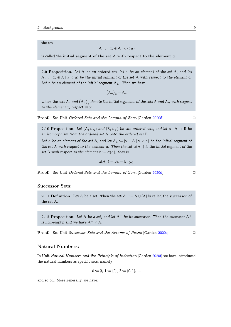<span id="page-9-3"></span>the set

$$
A_{\alpha} := \{x \in A \mid x < \alpha\}
$$

is called the initial segment of the set  $A$  with respect to the element  $a$ .

2.9 Proposition. *Let* A *be an ordered set, let* a *be an element of the set* A*, and let*  $A_a := \{x \in A \mid x < a\}$  be the initial segment of the set A with respect to the element a. Let z be an element of the initial segment  $A_a$ . Then we have

$$
\big(A_\alpha\big)_z=A_z
$$

<span id="page-9-0"></span>where the sets  $A_z$  and  $(A_a)_z$  denote the initial segments of the sets  $A$  and  $A_a$  with respect *to the element* z*, respectively.*

Proof. See Unit *Ordered Sets and the Lemma of Zorn* [Garden 2020d]. *✷*

**2.10 Proposition.** Let  $(A, \leq_A)$  and  $(B, \leq_B)$  be two ordered sets, and let  $\alpha : A \to B$  be *an isomorphism from the ordered set* A *onto the ordered set* B*.*

<span id="page-9-2"></span>*Let* a *be an element of the set* A, and let  $A_a := \{x \in A \mid x < a\}$  *be the initial segment of the set* A *with respect to the element* a. Then the set  $\alpha(A_\alpha)$  *is the initial segment of the set* B with respect to the element  $b := \alpha(a)$ , that is,

$$
\alpha(A_{\alpha})=B_{\mathfrak{b}}=B_{\alpha(\alpha)}.
$$

Proof. See Unit *Ordered Sets and the Lemma of Zorn* [Garden 2020d]. *✷*

## Successor Sets:

2.11 Definition. Let A be a set. Then the set  $A^+ := A \cup \{A\}$  is called the successor of the set A.

<span id="page-9-1"></span>2.12 Proposition. Let A be a set, and let  $A^+$  be its successor. Then the successor  $A^+$ *is non-empty, and we have*  $A^+ \neq A$ *.* 

Proof. See Unit *Successor Sets and the Axioms of Peano* [Garden 2020e]. *✷*

### Natural Numbers:

In Unit *Natural Numbers and the Principle of Induction* [Garden 2020f] we have introduced the natural numbers as specific sets, namely

$$
0 := \emptyset, 1 := \{0\}, 2 := \{0, 1\}, \dots
$$

and so on. More generally, we have: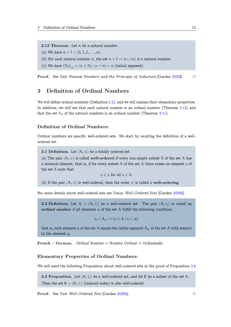<span id="page-10-2"></span>2.13 Theorem. *Let* n *be a natural number.*

*(a)* We have  $n + 1 = \{0, 1, 2, \ldots, n\}$ .

*(b)* For each natural number n, the set  $n + 1 := n \cup \{n\}$  is a natural number.

(c) We have  $(\mathbb{N}_0)_n := \{x \in \mathbb{N}_0 \mid x < n\} = n$  *(initial segment).* 

Proof. See Unit *Natural Numbers and the Principle of Induction* [Garden 2020f]. *✷*

## 3 Definition of Ordinal Numbers

<span id="page-10-0"></span>We will define ordinal numbers (Definition 3.2), and we will explain their elementary properties. In addition, we will see that each natural number is an ordinal number (Theorem 3.12) and that the set  $\mathbb{N}_0$  of the natural numbers is an ordinal number (Theorem 3.11).

## Definition of Ordinal Numbers:

Ordinal numbers are specific well-ordered sets. We start by recalling the definition of a wellordered set.

**3.1 Definition.** Let  $(A, \leq)$  be a totally ordered set.

(a) The pair  $(A, \leqslant)$  is called well-ordered if every non-empty subset X of the set A has a minimal element, that is, if for every subset  $X$  of the set  $A$  there exists an element  $z$  of the set X such that

 $z \leq x$  for all  $x \in X$ .

(b) If the pair  $(A, \leqslant)$  is well-ordered, then the order  $\leqslant$  is called a well-ordering.

For more details about well-ordered sets see Union *Well-Ordered Sets* [Garden 2020h].

**3.2 Definition.** Let  $A = (A, \leqslant)$  be a well-ordered set. The pair  $(A, \leqslant)$  is called an ordinal number if all elements a of the set A fulfill the following condition:

$$
\mathfrak{a} = \mathfrak{A}_{\mathfrak{a}} := \{ x \in \mathfrak{A} \mid x < \mathfrak{a} \},
$$

<span id="page-10-1"></span>that is, each element a of the set A equals the initial segment  $A_a$  of the set A with respect to the element a.

French / German. Ordinal Number = Nombre Ordinal = Ordinalzahl.

#### Elementary Properties of Ordinal Numbers:

We will need the following Proposition about well-ordered sets in the proof of Proposition 3.4

3.3 Proposition. Let  $(A, \leq)$  be a well-ordered set, and let B be a subset of the set A. *Then the set*  $B = (B, \leq)$  *(induced order) is also well-ordered.* 

Proof. See Unit *Well-Ordered Sets* [Garden 2020h]. *✷*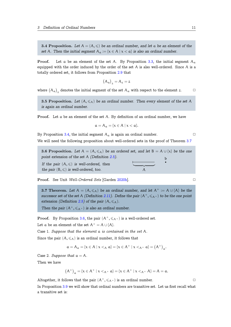<span id="page-11-2"></span>**3.4 Proposition.** Let  $A = (A, \leqslant)$  be an ordinal number, and let a be an element of the *set* A. Then the initial segment  $A_a := \{x \in A \mid x < a\}$  is also an ordinal number.

<span id="page-11-0"></span>**Proof.** Let a be an element of the set A. By Proposition 3.3, the initial segment  $A_{\alpha}$ equipped with the order induced by the order of the set  $A$  is also well-ordered. Since  $A$  is a totally ordered set, it follows from Proposition 2.9 that

$$
\big(A_\alpha\big)_z=A_z=z
$$

where  $(A_a)_z$  denotes the initial segment of the [set](#page-9-0)  $A_a$  with respect to the element z.  $\Box$ 

3.5 Proposition. Let  $(A, \leq_A)$  be an ordinal number. Then every element of the set A *is again an ordinal number.*

Proof. Let a be an element of the set A. By definition of an ordinal number, we have

$$
\mathfrak{a}=\mathfrak{A}_{\mathfrak{a}}=\{x\in\mathfrak{A}\mid x<\mathfrak{a}\}.
$$

By Proposition 3.4, the initial segment  $A_\alpha$  is again an ordinal number.  $\Box$ 

We will need the following proposition about well-ordered sets in the proof of Theorem 3.7

**3.6 Proposi[tion](#page-11-0).** Let  $A = (A, \leq_{A})$  be an ordered set, and let  $B = A \cup \{x\}$  be the one *point extension of the set* A *(Definition 2.5). If the pair*  $(A, \leq)$  *is well-ordered, then the pair*  $(B, \leq)$  *is well-ordered, too.* b  $\overline{\phantom{a}}$   $\overline{\phantom{a}}$ A

<span id="page-11-1"></span>Proof. See Unit *Well-Ordered Sets* [Garden 2020h]. *✷*

**3.7 Theorem.** Let  $A = (A, \leq_{A})$  be an ordinal number, and let  $A^{+} := A \cup \{A\}$  be the *successor set of the set* A *(Definition 2.11).* [Define t](#page-29-0)he pair  $(A^+, \leq A^+)$  to be the one point *extension (Definition 2.5) of the pair*  $(A, \leq_A)$ *. Then the pair*  $(A^+, \leq A^+)$  *is also an ordinal number.* 

**Proof.** By Proposition [3.6](#page-8-0), the pair  $(A^+, \leq_{A^+})$  $(A^+, \leq_{A^+})$  $(A^+, \leq_{A^+})$  is a well-ordered set.

Let a be an element of the set  $A^+ = A \cup \{A\}$ .

Case 1. *Suppose that the element* a *is contained in the set* A*.*

Since the pair  $(A, \leq_A)$  is [an](#page-11-1) ordinal number, it follows that

$$
\mathfrak{a}=A_{\mathfrak{a}}=\{x\in A\mid x<_A\mathfrak{a}\}=\{x\in A^+\mid x<_A^+\mathfrak{a}\}=\big(A^+\big)_{\mathfrak{a}}.
$$

Case 2. *Suppose that*  $a = A$ .

Then we have

$$
(A^+)_{\alpha} = \{x \in A^+ \mid x <_{A^+} \alpha\} = \{x \in A^+ \mid x <_{A^+} A\} = A = \alpha.
$$

Altogether, it follows that the pair  $(A^+, \leq A^+)$  is an ordinal number.  $\Box$ 

In Proposition 3.9 we will show that ordinal numbers are transitive set. Let us first recall what a transitive set is: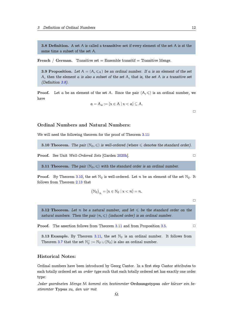<span id="page-12-2"></span>3.8 Definition. A set A is called a transitive set if every element of the set A is at the same time a subset of the set A.

French / German. Transitive set = Ensemble transitif = Transitive Menge.

**3.9 Proposition.** Let  $A = (A, \leq_A)$  be an ordinal number. If a is an element of the set A*, then the element* a *is also a subset of the set* A*, that is, the set* A *is a transitive set (Definition 3.8).*

<span id="page-12-0"></span>**Proof.** Let a be an element of the set A. Since the pair  $(A, \leq)$  is an ordinal number, we have

$$
\mathfrak{a} = A_{\mathfrak{a}} := \{ x \in A \mid x < \mathfrak{a} \} \subseteq A.
$$

 $\Box$ 

#### Ordinal Numbers and Natural Numbers:

We will need the following theorem for the proof of Theorem 3.11:

**3.10 Theorem.** The pair  $(\mathbb{N}_0, \leqslant)$  is well-ordered (where  $\leqslant$  denotes the standard order).

**Proof.** See Unit *Well-Ordered Sets* [Garden 2020h]. □

**3.11 Theorem.** *The pair*  $(N_0, \leqslant)$  *with the standard order is an ordinal number.* 

<span id="page-12-1"></span>**Proof.** By Theorem 3.10, the set  $\mathbb{N}_0$  is well-[ordered](#page-29-0). Let n be an element of the set  $\mathbb{N}_0$ . It follows from Theorem 2.13 that

$$
\big(\mathbb{N}_0\big)_n=\{x\in\mathbb{N}_0\mid x< n\}=n.
$$

 $\Box$ 

**3.12 Theorem.** Let n be a natural number, and let  $\leq$  be the standard order on the *natural numbers. Then the pair*  $(n, \leq)$  *(induced order) is an ordinal number.* 

**Proof.** The assertion follows from Theorem 3.11 and from Proposition 3.5. □

**3.13 Example.** By Theorem 3.11, the set  $\mathbb{N}_0$  is an ordinal number. It follows from Theorem 3.7 that the set  $\mathbb{N}_0^+ := \mathbb{N}_0 \cup {\mathbb{N}_0}$  is also an ordinal number.

### Historical Notes:

Ordinal numbers have been introduced by Georg Cantor. In a first step Cantor attributes to each totally ordered set an *order type* such that each totally ordered set has exactly one order type: eor<br>at<br>*tir*<br> $\bar{M}$ 

*Jeder geordneten Menge* M *kommt ein bestimmter* Ordnungstypus *oder kürzer ein bestimmter* Typus *zu, den wir mit*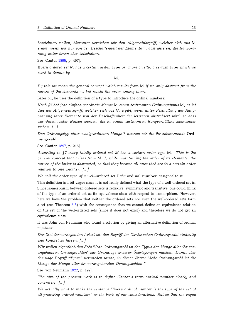<span id="page-13-0"></span>*bezeichnen wollen; hierunter verstehen wir den Allgemeinbegriff, welcher sich aus* M *ergibt, wenn wir nur von der Beschaffenheit der Elemente* m *abstrahieren, die Rangordnung unter ihnen aber beibehalten.* ir<br>it d<br>ype<br>M.

See [Cantor 1895, p. 497].

*Every ordered set* M *has a certain* order type *or, more briefly, a certain* type *which we want to denote by*

*By this we mean the general concept which results from* M *if we only abstract from the nature of the elements* m*, but retain the order among them. Every ordered set* M has a certain order type *or, more briefly, a certain type which we*<br>want to denote by<br> $\bar{M}$ .<br>*By this we mean the general concept which results from* M *if we only abstract from the*<br>nature of the

Later on, he uses the definition of a type to introduce the ordinal numbers:

*dies der Allgemeinbegriff, welcher sich aus* M *ergibt, wenn unter Festhaltung der Rangordnung ihrer Elemente von der Beschaffenheit der letzteren abstrahiert wird, so dass aus ihnen lauter Einsen werden, die in einem bestimmten Rangverhältnis zueinander stehen. [...] Accordinang ihrer Elemente von der Beschaffenheit der letzteren abstrahiert wird, so dass* aus ihnen lauter Einsen werden, die in einem bestimmten Rangverhältnis zueinander stehen. [...]<br>Den Ordnungstyp einer wohlgeordnet

*Den Ordnungstyp einer wohlgeordneten Menge* F *nennen wir die ihr zukommende* Ordnungszahl*.*

See [Cantor 1897, p. 216].

*general concept that arises from* M *if, while maintaining the order of its elements, the nature of t[he lat](#page-29-4)ter is abstracted, so that they become all ones that are in a certain order relation to one another. [...]*

*We call the order type of a well-ordered set* F *the* ordinal number *assigned to it.*

This definition is a bit vague since it is not really defined what the type of a well-ordered set is. Since isomorphism between ordered sets is reflexive, symmetric and transitive, one could think of the type of an ordered set as its equivalence class with respect to isomorphism. However, here we have the problem that neither the ordered sets nor even the well-ordered sets form a set (see Theorem 6.3) with the consequence that we cannot define an equivalence relation on the set of the well-ordered sets (since it does not exist) and therefore we do not get an equivalence class.

It was John von Ne[uma](#page-23-0)nn who found a solution by giving an alternative definition of ordinal numbers:

*Das Ziel der vorliegenden Arbeit ist: den Begriff der Cantorschen Ordnungszahl eindeutig und konkret zu fassen. [...]*

*Wir wollen eigentlich den Satz "Jede Ordnungszahl ist der Typus der Menge aller ihr vorangehenden Ornungszahlen" zur Grundlage unserer Überlegungen machen. Damit aber der vage Begriff "Typus" vermieden werde, in dieser Form: "Jede Ordnungszahl ist die Menge der Menge aller ihr vorangehenden Ornungszahlen."*

See [von Neumann 1922, p. 199].

*The aim of the present work is to define Cantor's term ordinal number clearly and concretely. [...]*

*We actually want [to m](#page-29-5)ake the sentence "Every ordinal number is the type of the set of all preceding ordinal numbers" as the basis of our considerations. But so that the vague*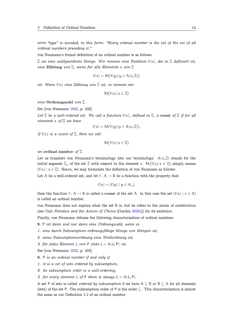<span id="page-14-0"></span>*term "type" is avoided, in this form: "Every ordinal number is the set of the set of all ordinal numbers preceding it."*

von Neumann's formal definition of an ordinal number is as follows:

Ξ *sei eine wohlgeordnete Menge. Wir nennen eine Funktion* f(x)*, die in* Ξ *definiert ist, eine* Zählung *von* Ξ*, wenn für alle Elemente* x *von* Ξ

$$
f(x) = M\big(f(y); y \in A(x, \Xi)\big)
$$

*ist. Wenn* f(x) *eine Zählung von* Ξ *ist, so nennen wir*

$$
M\big(f(x);x\in\Xi\big)
$$

*eine* Ordnungszahl *von* Ξ*.*

See [von Neumann 1922, p. 200].

*Let* Ξ *be a well-ordered set. We call a function* f(x)*, defined in* Ξ*, a* count *of* Ξ *if for all elements* x *of* Ξ *we have*

$$
f(x) = M\big(f(y); y \in A(x, \Xi)\big).
$$

*If* f(x) *is a count of* Ξ*, then we call*

$$
M\big(f(x);x\in\Xi\big)
$$

*an* ordinal number *of* Ξ*.*

Let us translate von Neumann's terminology into our terminology:  $A(x, \Xi)$  stands for the initial segment  $\Xi_x$  of the set  $\Xi$  with respect to the element x.  $M(f(x); x \in \Xi)$  simply means  ${f(x) | x \in \Xi}$ . Hence, we may formulate the definition of von Neumann as follows:

Let A be a well-ordered set, and let  $f : A \rightarrow B$  be a function with the property that

$$
f(x) = \{f(y) \mid y \in A_x\},\
$$

then the function f : A  $\rightarrow$  B is called a count of the set A. In this case the set  $\{f(x) | x \in A\}$ is called an ordinal number.

von Neumann does not explain what the set B is, but he refers to the axiom of substitution (see Unit *Families and the Axiom of Choice* [Garden 2020c]) for its existence.

Finally, von Neumann obtains the following characterization of ordinal numbers:

- 9. P *ist dann und nur dann eine Ordnungszahl, wenn es*
- *1. eine durch Subsumption ordnungsfähige Menge v[on Me](#page-29-6)ngen ist,*
- *2. seine Subsumptionsordnung eine Wohlordnung ist,*
- *3. für jedes Element* ξ *von* P *stets* ξ = A(ξ, P) *ist.*

See [von Neumann 1922, p. 203].

- 9. P *is an ordinal number if and only if*
- *1. it is a set of sets ordered by subsumption,*
- *2. its subsumptio[n ord](#page-29-5)er is a well-ordering,*
- *3. for every element*  $\xi$  *of* P *there is always*  $\xi = A(\xi, P)$ *.*

A set P of sets is called *ordered by subsumption* if we have A *⊆* B or B *⊆* A for all elements (sets) of the set P. The subsumption order of P is the order *⊆*. This characterization is almost the same as our Definition 3.2 of an ordinal number.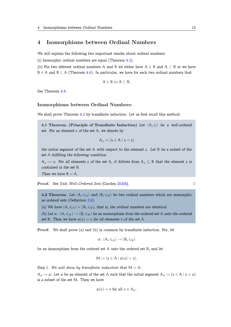## <span id="page-15-2"></span>4 Isomorphisms between Ordinal Numbers

We will explain the following two important results about ordinal numbers:

<span id="page-15-0"></span>(i) Isomorphic ordinal numbers are equal (Theorem 4.2).

(ii) For two diferent ordinal numbers A and B we either have A *∈* B and A *⊂* B or we have B *∈* A and B *⊂* A (Theorem 4.6). In particular, we have for each two ordinal numbers that

$$
A\in B \Leftrightarrow A\subset B.
$$

See Theorem 4.9.

#### Isomorphisms between Ordinal Numbers:

We shall prove Theorem 4.2 by transfinite induction. Let us first recall this method:

4.1 Theorem. (Principle of Transfinite Induction) Let  $(A, \leqslant)$  be a well-ordered *set. For an element* z *[of th](#page-15-1)e set* A*, we denote by*

$$
A_z := \{x \in A \mid x < z\}
$$

*the initial segment of the set* A *with respect to the element* z*. Let* B *be a subset of the set* A *fulfilling the following condition:*

 $A_z \mapsto z$ : For all elements z of the set A, it follows from  $A_z \subseteq B$  that the element z is *contained in the set* B*.*

*Then we have*  $B = A$ *.* 

Proof. See Unit *Well-Ordered Sets* [Garden 2020h].

4.2 Theorem. Let  $(A, \leq_A)$  and  $(B, \leq_B)$  be two ordinal numbers which are isomorphic *as ordered sets (Definition 2.6).*

*(a)* We have  $(A, \leq A) = (B, \leq_B)$ , that is, the ordinal numbers are identical.

<span id="page-15-1"></span>*(b)* Let  $\alpha$  :  $(A, \leq_A) \rightarrow (B, \leq_B)$  be an isomorphism from the ordered set A onto the ordered *set* B. Then we have  $\alpha(x) = x$  $\alpha(x) = x$  $\alpha(x) = x$  for all elements x of the set A.

Proof. We shall prove (a) and (b) in common by transfinite induction. For, let

$$
\alpha: (A,\leqslant_A)\to (B,\leqslant_B)
$$

be an isomorphism from the ordered set A onto the ordered set B, and let

$$
M:=\{x\in A\mid \alpha(x)=x\}.
$$

Step 1. We will show by transfinite induction that  $M = A$ :

 $A_a \mapsto a$ : Let a be an element of the set A such that the initial segment  $A_a := \{x \in A \mid x < a\}$ is a subset of the set M. Then we have

$$
\alpha(x) = x \text{ for all } x \in A_{\alpha}.
$$

$$
\Box
$$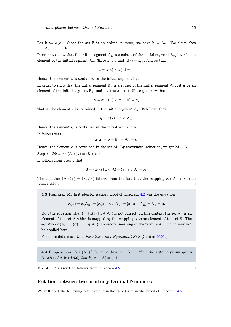<span id="page-16-0"></span>Let  $b := \alpha(a)$ . Since the set B is an ordinal number, we have  $b = B_b$ . We claim that  $a = A_a = B_b = b$ :

In order to show that the initial segment  $A_a$  is a subset of the initial segment  $B_b$ , let x be an element of the initial segment A<sub>a</sub>. Since  $x < a$  and  $\alpha(x) = x$ , it follows that

$$
x=\alpha(x)<\alpha(a)=b.
$$

Hence, the element  $x$  is contained in the initial segment  $B_b$ .

In order to show that the initial segment  $B_b$  is a subset of the initial segment  $A_a$ , let y be an element of the initial segment  ${\rm B_b},$  and let  ${\rm x}:=\alpha^{-1}({\rm y}).$  Since  ${\rm y}<{\rm b},$  we have

$$
x = \alpha^{-1}(y) < \alpha^{-1}(b) = a
$$

that is, the element x is contained in the initial segment  $A_{\alpha}$ . It follows that

$$
y=\alpha(x)=x\in A_{\alpha}.
$$

Hence, the element y is contained in the initial segment  $A_a$ .

It follows that

$$
\alpha(\mathfrak{a}) = \mathfrak{b} = \mathfrak{B}_{\mathfrak{b}} = \mathfrak{A}_{\mathfrak{a}} = \mathfrak{a}.
$$

Hence, the element a is contained in the set M. By transfinite induction, we get  $M = A$ . Step 2. *We have*  $(A, \leq A) = (B, \leq B)$ :

It follows from Step 1 that

$$
B = \{ \alpha(x) \mid x \in A \} = \{ x \mid x \in A \} = A.
$$

The equation  $(A, \leq_A) = (B, \leq_B)$  follows from the fact that the mapping  $\alpha : A \to B$  is an isomorphism. isomorphism.

4.3 Remark. My first idea for a short proof of Theorem 4.2 was the equation

$$
\alpha(\mathfrak{a}) = \alpha(A_{\mathfrak{a}}) = {\alpha(x) | x \in A_{\mathfrak{a}}} = {x | x \in A_{\mathfrak{a}}} = A_{\mathfrak{a}} = \mathfrak{a}.
$$

But, the equation  $\alpha(A_a) = {\alpha(x) | x \in A_a}$  is not correct. [In t](#page-15-1)his context the set  $A_a$  is an element of the set A which is mapped by the mapping  $\alpha$  to an element of the set B. The equation  $\alpha(A_\alpha) = {\alpha(x) | x \in A_\alpha}$  is a second meaning of the term  $\alpha(A_\alpha)$  which may not be applied here.

For more details see Unit *Functions and Equivalent Sets* [Garden 2020b].

4.4 Proposition. Let  $(A, \leq)$  be an ordinal number. Then the automorphism group Aut(A) of A is trivial, that is,  $Aut(A) = {id}$ .

**Proof.** The assertion follows from Theorem 4.2. ◯

#### Relation between two arbitrary Ordinal Numbers:

We will need the following result about well-ordered sets in the proof of Theorem 4.6: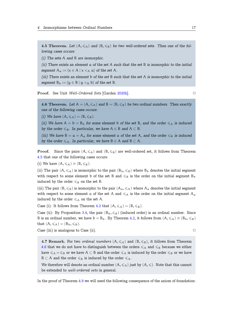<span id="page-17-2"></span>4.5 Theorem. Let  $(A, \leqslant_A)$  and  $(B, \leqslant_B)$  be two well-ordered sets. Then one of the fol*lowing cases occurs:*

*(i) The sets* A *and* B *are isomorphic.*

<span id="page-17-0"></span>*(ii) There exists an element* a *of the set* A *such that the set* B *is isomorphic to the initial segment*  $A_a := \{x \in A \mid x < A_a\}$  *of the set* A.

*(iii) There exists an element* b *of the set* B *such that the set* A *is isomorphic to the initial segment*  $B_b := \{y \in B \mid y \leq_B b\}$  *of the set* B.

Proof. See Unit *Well-Ordered Sets* [Garden 2020h]. *✷*

4.6 Theorem. Let  $A = (A, \leqslant_A)$  and  $B = (B, \leqslant_B)$  be two ordinal numbers. Then exactly *one of the following cases occurs:*

*(i)* We have  $(A, \leq_A) = (B, \leq_B)$ .

<span id="page-17-1"></span>*(ii)* We have  $A = b = B_b$  for some element b of the set B, and the order  $\leq_A$  is induced *by the order*  $\leq_B$ *. In particular, we have*  $A \in B$  *and*  $A \subset B$ *.* 

*(iii)* We have  $B = a = A_a$  *for some element* a *of the set* A, and the order  $\leq_B$  *is induced by the order*  $\leq_{A}$ *. In particular, we have*  $B \in A$  *and*  $B \subset A$ *.* 

**Proof.** Since the pairs  $(A, \leq_A)$  and  $(B, \leq_B)$  are well-ordered set, it follows from Theorem 4.5 that one of the following cases occurs:

(i) We have  $(A, \leqslant_A) \cong (B, \leqslant_B)$ .

(ii) The pair  $(A, \leq A)$  is isomorphic to the pair  $(B_b, \leq B)$  where  $B_b$  denotes the initial segment [wit](#page-17-0)h respect to some element b of the set B and  $\leq_B$  is the order on the initial segment B<sub>b</sub> induced by the order  $\leq_B$  on the set B.

(iii) The pair  $(B, \leq_B)$  is isomorphic to the pair  $(A_\alpha, \leq_A)$  where  $A_\alpha$  denotes the initial segment with respect to some element a of the set A and  $\leq_{\mathcal{A}}$  is the order on the initial segment  $A_{\alpha}$ induced by the order  $\leqslant_A$  on the set A.

Case (i): It follows from Theorem 4.2 that  $(A, \leq_A) = (B, \leq_B)$ .

Case (ii): By Proposition 3.4, the pair  $(B_b, \leq B)$  (induced order) is an ordinal number. Since B is an ordinal number, we have  $b = B_b$ . By Theorem 4.2, it follows from  $(A, \leq A) \cong (B_b, \leq_B)$ that  $(A, \leqslant_A) = (B_b, \leqslant_B)$ .

[Case](#page-11-0) (iii) is analogous to Case (ii). **◯** 

4.7 Remark. For two *ordinal numbers*  $(A, \leq A)$  and  $(B, \leq_B)$ , it follows from Theorem 4.6 that we do not have to distinguish between the orders  $\leq_{A}$  and  $\leq_{B}$  because we either have  $\leqslant_A = \leqslant_B$  or we have  $A \subset B$  and the order  $\leqslant_A$  is induced by the order  $\leqslant_B$  or we have  $B \subset A$  and the order  $\leq B$  is induced by the order  $\leq A$ .

[We](#page-17-1) therefore will denote an ordinal number  $(A, \leq_A)$  just by  $(A, \leq)$ . Note that this cannot be extended to *well-ordered sets* in general.

In the proof of Theorem 4.9 we will need the following consequence of the axiom of foundation: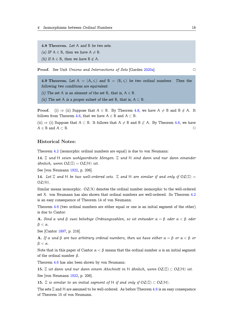<span id="page-18-1"></span>4.8 Theorem. *Let* A *and* B *be two sets. (a)* IF  $A \in B$ , then we have  $A \neq B$ . *(b)* If  $A \in B$ , then we have  $B \notin A$ .

**Proof.** See Unit *Unions and Intersections of Sets* [Garden 2020a]. □

4.9 Theorem. Let  $A = (A, \leqslant)$  and  $B = (B, \leqslant)$  be two ordinal numbers. Then the *following two conditions are equivalent:*

*(i)* The set A is an element of the set B, that is,  $A \in B$ .

<span id="page-18-0"></span>*(ii)* The set A *is a proper subset of the set* B, that *is*,  $A \subset B$ *.* 

**Proof.** (i)  $\Rightarrow$  (ii) Suppose that  $A \in B$ . By Theorem 4.8, we have  $A \neq B$  and  $B \notin A$ . It follows from Theorem 4.6, that we have  $A \in B$  and  $A \subset B$ .

(ii)  $\Rightarrow$  (i) Suppose that A ⊂ B. It follows that A  $\neq$  B and B  $\not\subset$  A. By Theorem 4.6, we have A *∈* B and A *⊂* B. *✷*

## Historical Notes:

Theorem 4.2 (isomorphic ordinal numbers are equal) is due to von Neumann:

14. Ξ *und* H *seien wohlgeordnete Mengen.* Ξ *und* H *sind dann und nur dann einander*  $\ddot{a}$ *hnlich, wenn*  $OZ(\Xi) = OZ(H)$  *ist.* 

See [von [Neu](#page-15-1)mann 1922, p. 206].

14. Let  $\Xi$  and H be two well-ordered sets.  $\Xi$  and H are similar if and only if  $OZ(\Xi)$  = OZ(H)*.*

Similar means iso[morph](#page-29-5)ic.  $OZ(X)$  denotes the ordinal number isomorphic to the well-ordered set X. von Neumann has also shown that ordinal numbers are well-ordered. So Theorem 4.2 is an easy consequence of Theorem 14 of von Neumann.

Theorem 4.6 (two ordinal numbers are either equal or one is an initial segment of the other) is due to Cantor:

A. *Sind* α *und* β *zwei beliebige Ordnungszahlen, so ist entweder* α = β *oder* α < β *oder*  $β < α$ .

See [Cantor 1897, p. 216].

**A.** If α und β are two arbitrary ordinal numbers, then we have either  $\alpha = \beta$  or  $\alpha < \beta$  or β < α*.*

Note that in [this](#page-29-4) paper of Cantor  $\alpha < \beta$  means that the ordinal number  $\alpha$  is an initial segment of the ordinal number  $β$ .

Theorem 4.6 has also been shown by von Neumann:

15. Ξ *ist dann und nur dann einem Abschnitt in* H *ähnlich, wenn* OZ(Ξ) *⊂* OZ(H) *ist.* See [von Neumann 1922, p. 206].

15.  $\Xi$  *is [sim](#page-17-1)ilar to an initial segment of* H *if and only if*  $OZ(\Xi) \subset OZ(H)$ *.* 

The sets  $\Xi$  and H are assumed to be well-ordered. As before Theorem 4.6 is an easy consequence of Theorem 15 of v[on Ne](#page-29-5)umann.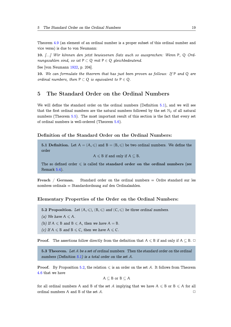<span id="page-19-2"></span>Theorem 4.9 (an element of an ordinal number is a proper subset of this ordinal number and vice versa) is due to von Neumann:

10. *[...] Wir können den jetzt bewiesenen Satz auch so aussprechen: Wenn* P*,* Q *Ordnungszah[len](#page-18-0) sind, so ist*  $P \subset Q$  *mit*  $P \in Q$  *gleichbedeutend.* 

See [von Neumann 1922, p. 204].

10. *We can formulate the theorem that has just been proven as follows: If* P *and* Q *are ordinal numbers, then*  $P \subset Q$  *is equivalent to*  $P \in Q$ *.* 

## 5 The Standard Order on the Ordinal Numbers

<span id="page-19-0"></span>We will define the standard order on the ordinal numbers (Definition 5.1), and we will see that the first ordinal numbers are the natural numbers followed by the set  $\mathbb{N}_0$  of all natural numbers (Theorem 5.5). The most important result of this section is the fact that every set of ordinal numbers is well-ordered (Theorem 5.6).

#### Definition of t[he](#page-20-0) Standard Order on the Ordinal Numbers:

5.1 Definition. Let  $A = (A, \leqslant)$  and  $B = (B, \leqslant)$  be two ordinal numbers. We define the order

 $A \leq B$  if and only if  $A \subseteq B$ .

The so defined order  $\leq$  is called the standard order on the ordinal numbers (see Remark 5.4).

French / German. Standard order on the ordinal numbers  $=$  Ordre standard sur les nombres o[rdin](#page-20-1)als = Standardordnung auf den Ordinalzahlen.

#### Elementary Properties of the Order on the Ordinal Numbers:

- 5.2 Proposition. Let  $(A, \leq), (B, \leq)$  and  $(C, \leq)$  be three ordinal numbers.
- *(a)* We have  $A \leq A$ .
- *(b)* If  $A \leq B$  *and*  $B \leq A$ *, then we have*  $A = B$ *.*
- <span id="page-19-1"></span>*(c)* If  $A \leq B$  *and*  $B \leq C$ *, then we have*  $A \leq C$ *.*

**Proof.** The assertions follow directly from the definition that  $A \leq B$  if and only if  $A \subseteq B$ .  $\Box$ 

5.3 Theorem. *Let* A *be a set of ordinal numbers. Then the standard order on the ordinal numbers (Definition 5.1) is a total order on the set* A*.*

**Proof.** By Proposition 5.2, the relation  $\leq$  is an order on the set A. It follows from Theorem 4.6 that we have

$$
A \subseteq B \text{ or } B \subseteq A
$$

for all ordinal numbers A [an](#page-19-1)d B of the set A implying that we have  $A \leq B$  or  $B \leq A$  for all [ord](#page-17-1)inal numbers A and B of the set  $A$ .  $\Box$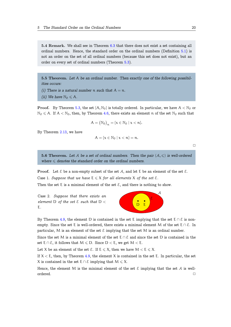<span id="page-20-3"></span>5.4 Remark. We shall see in Theorem 6.3 that there does not exist a set containing all ordinal numbers. Hence, the standard order on the ordinal numbers (Definition 5.1) is not an order on the set of all ordinal numbers (because this set does not exist), but an order on every set of ordinal numbers ([Theo](#page-23-0)rem 5.3).

<span id="page-20-1"></span>5.5 Theorem. *Let* A *be an ordinal number. Then exactly one of the following possibilities occurs:*

- *(i)* There is a natural number n such that  $A = n$ .
- <span id="page-20-0"></span>*(ii)* We have  $\mathbb{N}_0 \leqslant A$ .

**Proof.** By Theorem 5.3, the set  $\{A, \mathbb{N}_0\}$  is totally ordered. In particular, we have  $A < \mathbb{N}_0$  or  $\mathbb{N}_0 \leqslant A$ . If  $A < \mathbb{N}_0$ , then, by Theorem 4.6, there exists an element n of the set  $\mathbb{N}_0$  such that

$$
A = \big(\mathbb{N}_0\big)_n = \{x \in \mathbb{N}_0 \mid x < n\}.
$$

By Theorem 2.13, we have

$$
A = \{x \in \mathbb{N}_0 \mid x < n\} = n.
$$

 $\Box$ 

5.6 Theorem. Let A be a set of ordinal numbers. Then the pair  $(A, \leq)$  is well-ordered  $where \leq$  *denotes the standard order on the ordinal numbers.* 

<span id="page-20-2"></span>**Proof.** Let  $\mathcal E$  be a non-empty subset of the set  $\mathcal A$ , and let  $E$  be an element of the set  $\mathcal E$ .

Case 1. *Suppose that we have*  $E \leq X$  *for all elements* X *of the set*  $\mathcal{E}$ *.* 

Then the set E is a minimal element of the set  $\mathcal{E}$ , and there is nothing to show.

Case 2. *Suppose that there exists an element* D *of the set* E *such that* D < E*.*



By Theorem 4.9, the element D is contained in the set E implying that the set E *∩ E* is nonempty. Since the set E is well-ordered, there exists a minimal element M of the set E *∩* E. In particular, M is an element of the set  $\mathcal E$  implying that the set M is an ordinal number.

Since the set [M](#page-18-0) is a minimal element of the set E *∩* E and since the set D is contained in the set  $E \cap E$ , it follows that  $M \le D$ . Since  $D < E$ , we get  $M < E$ .

Let X be an element of the set  $\mathcal{E}$ . If  $E \leqslant X$ , then we have  $M < E \leqslant X$ .

If  $X < E$ , then, by Theorem 4.9, the element X is contained in the set E. In particular, the set X is contained in the set  $E \cap E$  implying that  $M \leqslant X$ .

Hence, the element M is the minimal element of the set  $\mathcal E$  implying that the set A is wellordered. *✷*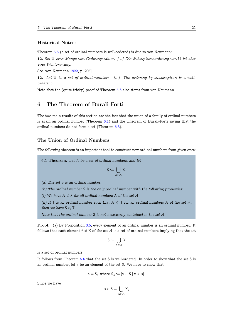## <span id="page-21-2"></span>Historical Notes:

Theorem 5.6 (a set of ordinal numbers is well-ordered) is due to von Neumann:

12. *Sei* U *eine Menge von Ordnungszahlen. [...] Die Subsuptionsordnung von* U *ist aber eine Wohlordnung.*

See [von [Neu](#page-20-2)mann 1922, p. 205].

12. *Let* U *be a set of ordinal numbers. [...] The ordering by subsumption is a wellordering.*

Note that the (quit[e tric](#page-29-5)ky) proof of Theorem 5.6 also stems from von Neumann.

## 6 The Theorem of Burali-Forti

<span id="page-21-0"></span>The two main results of this section are the fact that the union of a family of ordinal numbers is again an ordinal number (Theorem 6.1) and the Theorem of Burali-Forti saying that the ordinal numbers do not form a set (Theorem 6.3).

### The Union of Ordinal Numb[ers](#page-21-1):

The following theorem is an important tool to construct new ordinal numbers from given ones:

6.1 Theorem. *Let* A *be a set of ordinal numbers, and let*

$$
S:=\bigcup_{X\in\mathcal{A}}X.
$$

<span id="page-21-1"></span>*(a) The set* S *is an ordinal number.*

*(b) The ordinal number* S *is the only ordinal number with the following properties:*

*(i)* We have  $A \le S$  *for all ordinal numbers* A *of the set* A.

*(ii)* If T is an ordinal number such that  $A \leq T$  for all ordinal numbers A of the set A, *then we have*  $S \leq T$ 

*Note that the ordinal number* S *is not necessarily contained in the set* A*.*

Proof. (a) By Proposition 3.5, every element of an ordinal number is an ordinal number. It follows that each element  $\emptyset \neq X$  of the set A is a set of ordinal numbers implying that the set

$$
S := \bigcup_{X \in \mathcal{A}} X
$$

is a set of ordinal numbers.

It follows from Theorem 5.6 that the set S is well-ordered. In order to show that the set S is an ordinal number, let s be an element of the set S. We have to show that

$$
s = S_s \text{ where } S_s := \{x \in S \mid x < s\}.
$$

Since we have

$$
s\in S=\bigcup_{X\in\mathcal{A}}X,
$$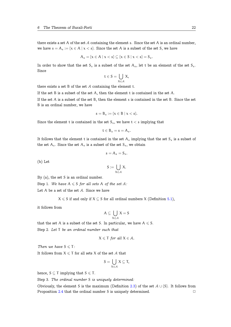there exists a set A of the set A containing the element s. Since the set A is an ordinal number, we have  $s = A_s := \{x \in A \mid x < s\}$ . Since the set A is a subset of the set S, we have

$$
A_s = \{x \in A \mid x < s\} \subseteq \{x \in S \mid x < s\} = S_s.
$$

In order to show that the set  $S_s$  is a subset of the set  $A_s$ , let t be an element of the set  $S_s$ . Since

$$
t\in S=\bigcup_{X\in\mathcal{A}}X,
$$

there exists a set B of the set  $A$  containing the element t.

If the set B is a subset of the set A, then the element t is contained in the set A.

If the set A is a subset of the set B, then the element s is contained in the set B. Since the set B is an ordinal number, we have

$$
s=B_s:=\{x\in B\mid x
$$

Since the element t is contained in the set  $S_s$ , we have  $t < s$  implying that

$$
t\in B_s=s=A_s.
$$

It follows that the element t is contained in the set  $A_s$  implying that the set  $S_s$  is a subset of the set  $A_s$ . Since the set  $A_s$  is a subset of the set  $S_s$ , we obtain

$$
s=A_s=S_s.
$$

(b) Let

$$
S:=\bigcup_{X\in\mathcal{A}}X.
$$

By (a), the set S is an ordinal number.

Step 1. We have  $A \leq S$  for all sets A of the set A:

Let  $A$  be a set of the set  $A$ . Since we have

 $X \leq S$  if and only if  $X \subseteq S$  for all ordinal numbers X (Definition 5.1),

it follows from

$$
A \subseteq \bigcup_{X \in \mathcal{A}} X = S
$$

that the set A is a subset of the set S. In particular, we have  $A \leq S$ .

Step 2. *Let* T *be an ordinal number such that*

$$
X\leqslant \mathsf{T} \text{ for all } X\in \mathcal{A}.
$$

*Then we have*  $S \leq T$ *:* 

It follows from  $X \leq T$  for all sets X of the set A that

$$
S=\bigcup_{X\in\mathcal{A}}X\subseteq T,
$$

hence,  $S \subseteq T$  implying that  $S \leq T$ .

Step 3. *The ordinal number* S *is uniquely determined:*

Obviously, the element S is the maximum (Definition 2.3) of the set A *∪* {S}. It follows from Proposition 2.4 that the ordinal number S is uniquely determined. □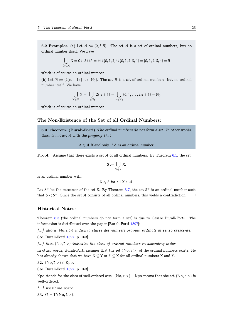<span id="page-23-1"></span>6.2 Examples. (a) Let  $A := \{0, 3, 5\}$ . The set A is a set of ordinal numbers, but no ordinal number itself. We have

$$
\bigcup_{X \in \mathcal{A}} X = 0 \cup 3 \cup 5 = \emptyset \cup \{0, 1, 2\} \cup \{0, 1, 2, 3, 4\} = \{0, 1, 2, 3, 4\} = 5
$$

which is of course an ordinal number.

(b) Let  $\mathcal{B} := \{2(n+1) \mid n \in \mathbb{N}_0\}$ . The set  $\mathcal{B}$  is a set of ordinal numbers, but no ordinal number itself. We have

$$
\bigcup_{X\in\mathcal{B}}X=\bigcup_{n\in\mathbb{N}_0}2(n+1)=\bigcup_{n\in\mathbb{N}_0}\{0,1,\ldots,2n+1\}=\mathbb{N}_0
$$

which is of course an ordinal number.

## The Non-Existence of the Set of all Ordinal Numbers:

6.3 Theorem. (Burali-Forti) *The ordinal numbers do not form a set. In other words, there is not set* A *with the property that*

A *∈* A *if and only if* A *is an ordinal number*.

<span id="page-23-0"></span>**Proof.** Assume that there exists a set  $A$  of all ordinal numbers. By Theorem 6.1, the set

$$
S:=\bigcup_{X\in\mathcal{A}}X.
$$

is an ordinal number with

$$
X \leqslant S \text{ for all } X \in \mathcal{A}.
$$

Let  $S^+$  be the successor of the set S. By Theorem 3.7, the set  $S^+$  is an ordinal number such

### Historical Notes:

that  $S < S^+$ . Since the set *A* consists of all ordinal numbers, this yields a contradiction. *△*<br> **Historical Notes:**<br>
Theorem 6.3 (the ordinal numbers do not form a set) is due to Cesare Burali-Forti. The<br>
information Theorem 6.3 (the ordinal numbers do not form a set) is due to Cesare Burali-Forti. The information is distributed over the paper [Burali-Forti 1897]:

See [Bura[li-Fo](#page-23-0)rti 1897, p. 163]. **[11] [11] historical Notes:**<br>**Theorem 6.3 (the ordinal nu[mber](#page-29-7)s do not form a set) is due to Cesare Burali-<br>information is distributed over the paper [Burali-Forti 1897]:<br>***[...]**allora* **(No,**  $\bar{\epsilon}$  **>)** *indicate in* Theorem 6.3 (the ordinal numbers do not form a set) is due to Cesare Burali-Forti. The<br>information is distributed over the paper [Burali-Forti 1897]:<br>[...] allora (No,  $\bar{\epsilon}$  >) indica la classe dei numeeri ordinali ordi *E...] allora*  $(No, \bar{\epsilon} >)$ <br>
See [Burali-Forti 1897<br> *E...] then*  $(No, \bar{\epsilon} >)$  *i*<br>
In other words, Bural<br>
has already shown the<br>
32.  $(No, \bar{\epsilon} >) \in Kpo$ .

has already show[n tha](#page-29-7)t we have  $X \subseteq Y$  or  $Y \subseteq X$  for all ordinal numbers X and Y. For the class of ordinal numbers in ascending order.<br>
In other words, Burali-Forti assumes that the set  $(No, \bar{\epsilon} >)$  of the ordinal numbers exists. He<br>
has already shown that we have  $X \subseteq Y$  or  $Y \subseteq X$  for all ordinal numbe

**32.** 
$$
(\text{No}, \overline{\epsilon}>) \in \text{Kpo}
$$
.

See [Burali-Forti 1897, p. 163].

well-ordered. (No, ε >)*.*

*[...] possiamo p[orre](#page-29-7)*

33. Ω = T *′*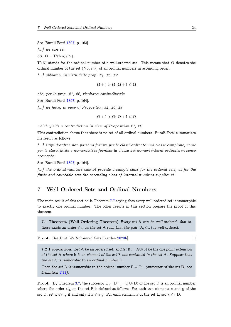<span id="page-24-2"></span>See [Burali-Forti 1897, p. 163].

*[...] we can set*

33. Ω = T *′* dered Sets<br>Forti 1897<br>*ι set*<br>(Νο, ε >)*.* 

 $\mathsf{T}'(\mathsf{X})$  stands for [the o](#page-29-7)rdinal number of a well-ordered set. This means that  $\Omega$  denotes the See [Burali-Forti 1897, p. 163].<br>
[...] we can set<br>
33.  $\Omega = T'(No, \bar{\epsilon}>)$ .<br>  $T'(X)$  stands for the ordinal number of a well-ordered set. This means that<br>
ordinal number of the set  $(No, \bar{\epsilon}>)$  of all ordinal numbers in ascend

*[...] abbiamo, in virtù delle prop. 34, 26, 29*

$$
\Omega+1>\Omega;\ \Omega+1\leqslant\Omega
$$

*che, per le prop. 21, 22, risultano contradittorie.*

See [Burali-Forti 1897, p. 164].

*[...] we have, in view of Proposition 34, 26, 29*

$$
\Omega+1>\Omega;\,\Omega+1\leqslant\Omega
$$

*which yields a contradiction in view of Proposition 21, 22.*

This contradiction shows that there is no set of all ordinal numbers. Burali-Forti summarizes his result as follows:

*[...] i tipi d'ordine non possono fornire per le classi ordinate una classe campione, come per le classi finite e numerabili le fornisce la classe dei numeri interni ordinata in senso crescente.*

See [Burali-Forti 1897, p. 164].

*[...] the ordinal numbers cannot provide a sample class for the ordered sets, as for the finite and countable sets the ascending class of internal numbers supplies it.*

## 7 Well-Ordered Sets and Ordinal Numbers

<span id="page-24-0"></span>The main result of this section is Theorem 7.7 saying that every well ordered set is isomorphic to exactly one ordinal number. The other results in this section prepare the proof of this theorem.

7.1 Theorem. (Well-Ordering Theo[rem](#page-27-0)) *Every set* A *can be well-ordered, that is, there exists an order*  $\leq_{\mathcal{A}}$  *on the set* A *such that the pair*  $(A, \leq_{\mathcal{A}})$  *is well-ordered.* 

<span id="page-24-1"></span>Proof. See Unit *Well-Ordered Sets* [Garden 2020h]. *✷*

7.2 Proposition. *Let* A *be an ordered set, and let* B := A*∪·* {b} *be the one point extension of the set* A *where* b *is an element of the set* B *[not](#page-29-0) contained in the set* A*. Suppose that the set* A *is isomorphic to an ordinal number* D*.*

*Then the set* B *is isomorphic to the ordinal number*  $E = D^+$  *(successor of the set* D, see *Definition 2.11).*

**Proof.** By Theorem 3.7, the successor  $E := D^+ := D \cup \{D\}$  of the set D is an ordinal number where the order  $\leq_F$  on the set E is defined as follows: For each two elements x and y of the set D, set  $x \leq_E y$  $x \leq_E y$  if and only if  $x \leq_D y$ . For each element x of the set E, set  $x \leq_E D$ .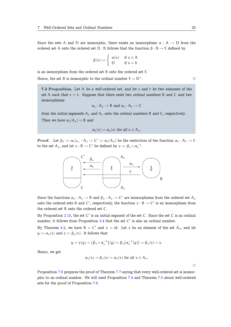Since the sets A and D are isomorphic, there exists an isomorphism  $\alpha : A \to D$  from the ordered set A onto the ordered set D. It follows that the function  $\beta : B \to E$  defined by

$$
\beta(x):=\left\{\begin{array}{ll}\alpha(x) & \text{ if } x\in A \\ D & \text{ if } x=b\end{array}\right.
$$

is an isomorphism from the ordered set B onto the ordered set E.

Hence, the set B is isomorphic to the ordinal number  $E = D^+$ .

7.3 Proposition. *Let* A *be a well-ordered set, and let* s *and* t *be two elements of the set* A *such that* s < t*. Suppose that there exist two ordinal numbers* B *and* C *and two isomorphisms*

$$
\alpha_s: A_s \to B \text{ and } \alpha_t: A_t \to C
$$

<span id="page-25-0"></span>*from the initial segments*  $A_s$  *and*  $A_t$  *onto the ordinal numbers* B *and* C, *respectively. Then we have*  $\alpha_t(A_s) = B$  *and* 

$$
\alpha_{t}(x)=\alpha_{s}(x) \text{ for all } x\in A_{s}.
$$

**Proof.** Let  $\beta_s := \alpha_t |_{A_s} : A_s \to C' := \alpha_t(A_s)$  be the restriction of the function  $\alpha_t : A_t \to C$ to the set  $A_s$ , and let  $\gamma : B \to C'$  be defined by  $\gamma := \beta_s \circ \alpha_s^{-1}$ .



Since the functions  $\alpha_s : A_s \to B$  and  $\beta_s : A_s \to C'$  are isomorphisms from the ordered set  $A_s$ onto the ordered sets B and C', respectively, the function  $\gamma : B \to C'$  is an isomorphism from the ordered set B onto the ordered set C.

By Proposition 2.10, the set C' is an initial segment of the set C. Since the set C is an ordinal number, it follows from Proposition 3.4 that the set C *′* is also an ordinal number.

By Theorem 4.2, we have  $B = C'$  and  $\gamma = id$ . Let x be an element of the set  $A_s$ , and let  $y := \alpha_s(x)$  $y := \alpha_s(x)$  $y := \alpha_s(x)$  and  $z := \beta_s(x)$ . It follows that

$$
y = \gamma(y) = (\beta_s \circ \alpha_s^{-1})(y) = \beta_s(\alpha_s^{-1}(y)) = \beta_s(x) = z.
$$

Hence, we get

$$
\alpha_s(x) = \beta_s(x) = \alpha_t(x) \text{ for all } x \in A_s.
$$

 $\Box$ 

Proposition 7.6 prepares the proof of Theorem 7.7 saying that every well-ordered set is isomorphic to an ordinal number. We will need Proposition 7.4 and Theorem 7.5 about well-ordered sets for the proof of Proposition 7.6.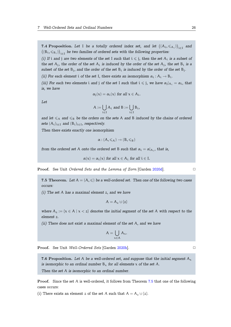<span id="page-26-2"></span>7.4 Proposition. Let I be a totally ordered index set, and let  $((A_i, \leq A_i))_{i \in I}$  and  $\big((B_i,\leqslant_{B_i})\big)_{i\in I}$  be two families of ordered sets with the following properties:

<span id="page-26-0"></span>*(i)* If i and j are two elements of the set I such that  $i \leq j$ , then the set  $A_i$  is a subset of *the set*  $A_j$ *, the order of the set*  $A_i$  *is induced by the order of the set*  $A_j$ *, the set*  $B_i$  *is a subset of the set*  $B_i$ *, and the order of the set*  $B_i$  *is induced by the order of the set*  $B_i$ *.* 

*(ii)* For each element i of the set I, there exists an isomorphism  $\alpha_i : A_i \to B_i$ .

*(iii) For each two elements* i *and* j *of the set* I *such that*  $i \le j$ *, we have*  $\alpha_j |_{A_i} = \alpha_i$ *, that is, we have*

$$
\alpha_j(x) = \alpha_i(x) \text{ for all } x \in A_i.
$$

*Let*

$$
A:=\bigcup_{i\in I}A_i \text{ and } B:=\bigcup_{i\in I}B_i,
$$

and let  $\leq_{A}$  and  $\leq_{B}$  be the orders on the sets A and B induced by the chains of ordered *sets*  $(A_i)_{i \in I}$  *and*  $(B_i)_{i \in I}$ *, respectively.* 

*Then there exists exactly one isomorphism*

$$
\alpha: (A,\leqslant_A)\to (B,\leqslant_B)
$$

*from the ordered set* A *onto the ordered set* B *such that*  $\alpha_i = \alpha|_{A_i}$ *, that is,* 

$$
\alpha(x) = \alpha_i(x) \text{ for all } x \in A_i \text{ for all } i \in I.
$$

**Proof.** See Unit *Ordered Sets and the Lemma of Zorn* [Garden 2020d]. □

7.5 Theorem. Let  $A = (A, \leqslant)$  be a well-ordered set. Then one of the following two cases *occurs:*

*(i) The set* A *has a maximal element* z*, and we have*

$$
A = A_z \cup \{z\}
$$

*where*  $A_z := \{x \in A \mid x < z\}$  *denotes the initial segment of the set* A *with respect to the element* z*.*

*(ii) There does not exist a maximal element of the set* A*, and we have*

$$
A=\bigcup_{x\in A}A_x.
$$

Proof. See Unit *Well-Ordered Sets* [Garden 2020h]. *✷*

7.6 Proposition. Let A be a well-ordered set, and suppose that the initial segment  $A_x$ *is isomorphic to an ordinal number*  $B_x$  *for al[l eleme](#page-29-0)nts* x *of the set* A.

<span id="page-26-1"></span>*Then the set* A *is isomorphic to an ordinal number.*

Proof. Since the set A is well-ordered, it follows from Theorem 7.5 that one of the following cases occurs:

(i) There exists an element z of the set A such that  $A = A_z \cup \{z\}$ .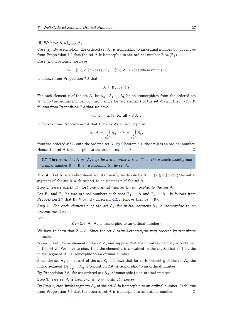<span id="page-27-1"></span>(ii) We have  $A = \bigcup_{z \in A} A_z$ .

Case (i): By assumption, the ordered set  $A_z$  is isomorphic to an ordinal number  $B_z$ . It follows from Proposition 7.2 that the set A is isomorphic to the ordinal number  $B := (B_z)^+$ .

Case (ii): Obviously, we have

$$
A_r = \{x \in A \mid x < r\} \subseteq A_s = \{x \in A \mid x < s\} \text{ whenever } r \leq s.
$$

It follows from Proposition 7.3 that

$$
B_r\subseteq B_s \text{ if } r\leqslant s.
$$

For each element z of the [set](#page-25-0) A, let  $\alpha_z : A_z \to B_z$  be an isomorphism from the ordered set  $A_z$  onto the ordinal number  $B_z$ . Let r and s be two elements of the set A such that  $r < s$ . It follows from Proposition 7.3 that we have

$$
\alpha_r(x) = \alpha_s(x) \text{ for all } x \in A_r.
$$

It follows from Propositi[on](#page-25-0) 7.4 that there exists an isomorphism

$$
\alpha: A:= \bigcup_{z\in A} A_z \to B:= \bigcup_{z\in A} B_z.
$$

from the ordered set A onto [the](#page-26-0) ordered set B. By Theorem 6.1, the set B is an ordinal number. Hence, the set  $A$  is isomorphic to the ordinal number B.  $\Box$ 

7.7 Theorem. Let  $A = (A, \leq_{A})$  be a well-ordered set. Then there exists exactly one *ordinal number*  $B = (B, \leq)$  *isomorphic to the set* A.

<span id="page-27-0"></span>**Proof.** Let A be a well-ordered set. As usually, we denote by  $A_z := \{x \in A \mid x < z\}$  the initial segment of the set A with respect to an element z of the set A.

Step 1. *There exists at most one ordinal number* B *isomorphic to the set* A*:*

Let B<sub>1</sub> and B<sub>2</sub> be two ordinal numbers such that B<sub>1</sub>  $\cong$  A and B<sub>2</sub>  $\cong$  A. It follows from Proposition 2.7 that  $B_1 \cong B_2$ . By Theorem 4.2, it follows that  $B_1 = B_2$ .

Step 2. *For each element* z *of the set* A*, the initial segment* A<sup>z</sup> *is isomorphic to an ordinal number:*

Let

 $Z := \{z \in A \mid A_z \text{ is isomorphic to an ordinal number}\}.$ 

We have to show that  $Z = A$ . Since the set A is well-ordered, we may proceed by transfinite induction:

 $A_z \mapsto z$ : Let z be an element of the set A, and suppose that the initial segment  $A_z$  is contained in the set  $Z$ . We have to show that the element  $z$  is contained in the set  $Z$ , that is, that the initial segment  $A_z$  is isomorphic to an ordinal number:

Since the set  $A_z$  is a subset of the set Z, it follows that for each element y of the set  $A_z$  the initial segment  $(A_z)_{y} = A_y$  (Proposition 2.9) is isomorphic to an ordinal number.

By Proposition 7.6, the set ordered set  $A_z$  is isomorphic to an ordinal number.

Step 3. *The set* A *is isomorphic to an ordinal number:*

By Step 2, each initial segment  $A_z$  of the [set](#page-9-0) A is isomorphic to an ordinal number. It follows from Proposition [7.](#page-26-1)6 that the ordered set A is isomorphic to an ordinal number.  $\Box$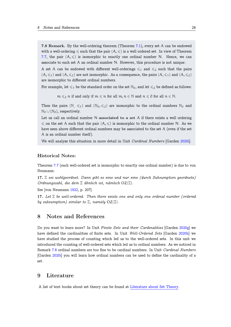<span id="page-28-2"></span>7.8 Remark. By the well-ordering theorem (Theorem 7.1), every set A can be endowed with a well-ordering  $\leq$  such that the pair  $(A, \leqslant)$  is a well ordered set. In view of Theorem 7.7, the pair  $(A, \leqslant)$  is isomorphic to exactly one ordinal number N. Hence, we can associate to each set A an ordinal number N. However, [thi](#page-24-1)s procedure is not unique:

A set A can be endowed with different well-orderings  $\leq 1$  and  $\leq 2$  such that the pairs  $(A, \leq_1)$  $(A, \leq_1)$  $(A, \leq_1)$  and  $(A, \leq_2)$  are not isomorphic. As a consequence, the pairs  $(A, \leq_1)$  and  $(A, \leq_2)$ are isomorphic to different ordinal numbers.

For example, let  $\leq 1$  be the standard order on the set  $\mathbb{N}_0$ , and let  $\leq 2$  be defined as follows:

 $m \leq 2$  n if and only if  $m \leq n$  for all  $m, n \in \mathbb{N}$  and  $n \leq 0$  for all  $n \in \mathbb{N}$ .

Then the pairs  $(N, \leq 1)$  and  $(N_0, \leq 2)$  are isomorphic to the ordinal numbers  $N_0$  and N<sup>0</sup> *∪* {N0}, respectively.

Let us call an ordinal number  $N$  associated to a set  $A$  if there exists a well ordering  $\leq$  on the set A such that the pair  $(A, \leqslant)$  is isomorphic to the ordinal number N. As we have seen above different ordinal numbers may be associated to the set A (even if the set A is an ordinal number itself).

We will analyze this situation in more detail in Unit *Cardinal Numbers* [Garden 2020i].

## Historical Notes:

Theorem 7.7 (each well-ordered set is isomorphic to exactly one ordinal number) is due to von Neumann:

17. Ξ *sei wohlgeordnet. Dann gibt es eine und nur eine (durch Subsumption geordnete) Ordnung[szah](#page-27-0)l, die dem* Ξ *ähnlich ist, nämlich* OZ(Ξ)*.*

See [von Neumann 1922, p. 207].

17. *Let* Ξ *be well-ordered. Then there exists one and only one ordinal number (ordered by subsumption) similar to* Ξ*, namely* OZ(Ξ)*.*

## 8 Notes and References

<span id="page-28-0"></span>Do you want to learn more? In Unit *Finite Sets and their Cardinalities* [Garden 2020g] we have defined the cardinalities of finite sets. In Unit *Well-Ordered Sets* [Garden 2020h] we have studied the process of counting which led us to the well-ordered sets. In this unit we introduced the counting of well-ordered sets which led us to ordinal numbers. As we noticed in Remark 7.8 ordinal numbers are too fine to be cardinal numbers. In Unit *Cardinal[Numb](#page-29-8)ers* [Garden 2020i] you will learn how ordinal numbers can be used to define the cardinality of a set.

## 9 Li[tera](#page-29-2)ture

<span id="page-28-1"></span>A list of text books about set theory can be found at Literature about Set Theory.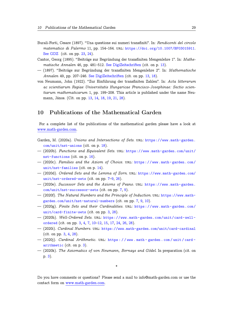- Burali-Forti, Cesare (1897). "Una questione sui numeri transfiniti". In: *Rendiconti del circolo matematico di Palermo* 11, pp. 154–164. url: https://doi.org/10.1007/BF03015911. See GDZ (cit. on pp. 23, 24).
- <span id="page-29-7"></span>Cantor, Georg (1895). "Beiträge zur Begründung der transfiniten Mengenlehre 1". In: *Mathematische Annalen* 46, pp. 481–512. See DigiZeitschriften (cit. on p. 13).
- — [\(1897\). "](https://gdz.sub.uni-goettingen.de/id/PPN599472057_0011)Beiträge zur [Be](#page-23-1)[grü](#page-24-2)ndung der transfin[iten Mengenlehre 2". In:](https://doi.org/10.1007/BF03015911) *Mathematische Annalen* 49, pp. 207–246. See DigiZeitschriften (cit. on pp. 13, 18).
- <span id="page-29-4"></span>von Neumann, John (1922). "Zur Einführung der transfiniten Zahlen". [In](#page-13-0): *Acta litterarum ac scientiarum Regiae Universitat[is Hungaricae Franc](http://www.digizeitschriften.de/dms/resolveppn/?PID=GDZPPN00225557X)isco-Josephinae: Sectio scientiarum mathematicarum* [1, pp. 199–208. This](http://www.digizeitschriften.de/dms/resolveppn/?PID=GDZPPN002256460) article is p[ubli](#page-13-0)[she](#page-18-1)d under the name Neumann, János. (Cit. on pp. 13, 14, 18, 19, 21, 28).

## <span id="page-29-5"></span>10 Publications of the Mathematical Garden

For a complete list of the publications of the mathematical garden please have a look at www.math-garden.com.

- Garden, M. (2020a). *Unions and Intersections of Sets.* URL: https://www.math-garden. com/unit/nst-unions (cit. on p. 18).
- [\(2020b\).](https://www.math-garden.com) *Functions and Equivalent Sets*. url: https://www.math-garden.com/unit/ nst-functions (cit. on p. 16).
- (2020c). *[Families and](https://www.math-garden.com/unit/nst-unions) the Axio[m o](#page-18-1)f Choice*. url: https[://www.math- garden.com/](https://www.math-garden.com/unit/nst-unions) unit/nst-families (cit. on p. 14).
- (2020d). *Ordered Sets an[d th](#page-16-0)e Lemma of Zorn*. url: [https://www.math-garden.com/](https://www.math-garden.com/unit/nst-functions) [unit/nst-order](https://www.math-garden.com/unit/nst-functions)ed-sets (cit. on pp. 7–9, 26).
- <span id="page-29-6"></span>— (2020e). *Successor Sets and t[he](#page-14-0) Axioms of Peano*. url: [https://www.math- garden.](https://www.math-garden.com/unit/nst-families) [com/unit/nst-succe](https://www.math-garden.com/unit/nst-families)ssor-sets (cit. on pp. 7, 9).
- <span id="page-29-3"></span>— (2020f). *[The Natural Num](https://www.math-garden.com/unit/nst-ordered-sets)bers and t[he](#page-7-1) [P](#page-9-3)r[inc](#page-26-2)iple of Induction*. url: [https://www.math](https://www.math-garden.com/unit/nst-ordered-sets)garden.com/unit/nst-natural-numbers (cit. on pp. 7, 9, 10).
- (2020g). *[Finite Sets and their](https://www.math-garden.com/unit/nst-successor-sets) Cardinaliti[es](#page-7-1)*. url: https[://www.math- garden.com/](https://www.math-garden.com/unit/nst-successor-sets) unit/card-finite-sets (cit. on pp. 3, 28).
- (2020h). *Well-Ordered Sets*. url: https://www.mat[h-](#page-7-1) [ga](#page-9-3)[rde](#page-10-2)n.com[/unit/card- well](https://www.math-garden.com/unit/nst-natural-numbers)ordered [\(cit. on pp.](https://www.math-garden.com/unit/nst-natural-numbers) 3, 4, 7, 10–12, 15, 17, 24, 26, 28).
- <span id="page-29-8"></span>— (2020i). *[Cardinal Numbe](https://www.math-garden.com/unit/card-finite-sets)rs*. url: htt[ps](#page-3-1)[://](#page-28-2)www.math[-garden.com/unit/card-cardinal](https://www.math-garden.com/unit/card-finite-sets) (cit. on pp. 3, 4, 28).
- <span id="page-29-0"></span>— (2020j). *Cardinal A[ri](#page-3-1)t[h](#page-4-0)[me](#page-7-1)[tic](#page-10-2)*. url[:](#page-15-2) [https : / / www . math - garden . com / unit / card](https://www.math-garden.com/unit/card-well-ordered)  [arithmet](https://www.math-garden.com/unit/card-well-ordered)ic (cit. on p. 3).
- <span id="page-29-2"></span>— (2020k). *Th[e](#page-3-1) [Ax](#page-4-0)[iom](#page-28-2)atics of von [Neumann, Bernays and Gödel](https://www.math-garden.com/unit/card-cardinal)*. In preparation (cit. on p. 3).

<span id="page-29-1"></span>Do yo[u](#page-3-1) have comments or questions? Please send a mail to info@math-garden.com or use the contact form on www.math-garden.com.

\*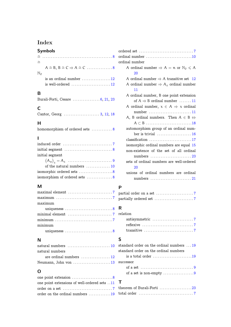# Index

## **Symbols**  $~ \cong~ . . . . . . . . . . . . . . . . . . . . . . . . . . . . . . . . . 8$  ordi =∼  $A \cong B, B \cong C \Rightarrow A \cong C \dots \dots \dots \dots \dots \dots 8$  $\mathbb{N}_0$ is an ordinal number  $\dots\dots\dots\dots\dots 12$  $\dots\dots\dots\dots\dots 12$ is well-ordered  $\dots\dots\dots\dots\dots\dots\dots$  1[2](#page-8-2) ordi

## **B**

|  |  | Burali-Forti, Cesare  6, 21, 23 |  |  |  |
|--|--|---------------------------------|--|--|--|
|--|--|---------------------------------|--|--|--|

## **C**

## **H**

| homomorphism of ordered sets  8 |  |  |  |  |  |  |
|---------------------------------|--|--|--|--|--|--|
|---------------------------------|--|--|--|--|--|--|

## **I**

| initial segment $\dots\dots\dots\dots\dots\dots\dots\dots$ 8 |
|--------------------------------------------------------------|
| initial segment                                              |
|                                                              |
| of the natural numbers  10                                   |
| isomorphic ordered sets 8                                    |
| isomorphism of ordered sets  8                               |

## **M**

| maximum                                                                       |
|-------------------------------------------------------------------------------|
|                                                                               |
| uniqueness $\dots\dots\dots\dots\dots\dots\dots\dots8$                        |
| minimal element $\dots \dots \dots \dots \dots \dots \dots$ 7                 |
| $minimum \dots \dots \dots \dots \dots \dots \dots \dots \dots \dots \dots 7$ |
|                                                                               |
| minimum                                                                       |
|                                                                               |
|                                                                               |

## **N**

| natural numbers $\ldots \ldots \ldots \ldots \ldots \ldots \ldots 10$ |  |
|-----------------------------------------------------------------------|--|
| natural numbers                                                       |  |
| are ordinal numbers $\dots \dots \dots \dots \dots 12$                |  |
| Neumann, John von 13                                                  |  |

## **O**

| one point extensions of well-ordered sets 11              |
|-----------------------------------------------------------|
| order on a set $\dots\dots\dots\dots\dots\dots\dots\dots$ |
| order on the ordinal numbers 19                           |

| ordinal number 10                                             |
|---------------------------------------------------------------|
| ordinal number                                                |
| A ordinal number $\Rightarrow$ A = n or $\mathbb{N}_0 \leq A$ |
| 20                                                            |
| A ordinal number $\Rightarrow$ A transitive set 12            |
| A ordinal number $\Rightarrow$ A <sub>z</sub> ordinal number  |
| 11                                                            |
| A ordinal number, B one point extension                       |
| of $A \Rightarrow B$ ordinal number  11                       |
| A ordinal number, $x \in A \Rightarrow x$ ordinal             |
| number  11                                                    |
| A, B ordinal numbers. Then $A \in B \Leftrightarrow$          |
| $A \subset B$ 18                                              |
| automorphism group of an ordinal num-                         |
| ber is trivial $\ldots$ 16                                    |
| classification 17                                             |
| isomorphic ordinal numbers are equal 15                       |
| non-existence of the set of all ordinal                       |
| numbers  23                                                   |
| sets of ordinal numbers are well-ordered                      |
| 20                                                            |
| unions of ordinal numbers are ordinal                         |
|                                                               |

## **P**

# **R**

| relation                                                       |
|----------------------------------------------------------------|
|                                                                |
|                                                                |
| transitive $\ldots, \ldots, \ldots, \ldots, \ldots, \ldots, 7$ |

## **S**

| standard order on the ordinal numbers 19                        |
|-----------------------------------------------------------------|
| standard order on the ordinal numbers                           |
| is a total order $\ldots \ldots \ldots \ldots \ldots \ldots 19$ |
| S11CCeSSOT                                                      |
| of a set $\dots\dots\dots\dots\dots\dots\dots\dots\dots9$       |
| of a set is non-empty $\dots\dots\dots\dots\dots9$              |
|                                                                 |

| theorem of Burali-Forti 23                                      |  |  |
|-----------------------------------------------------------------|--|--|
| total order $\ldots, \ldots, \ldots, \ldots, \ldots, \ldots, 7$ |  |  |